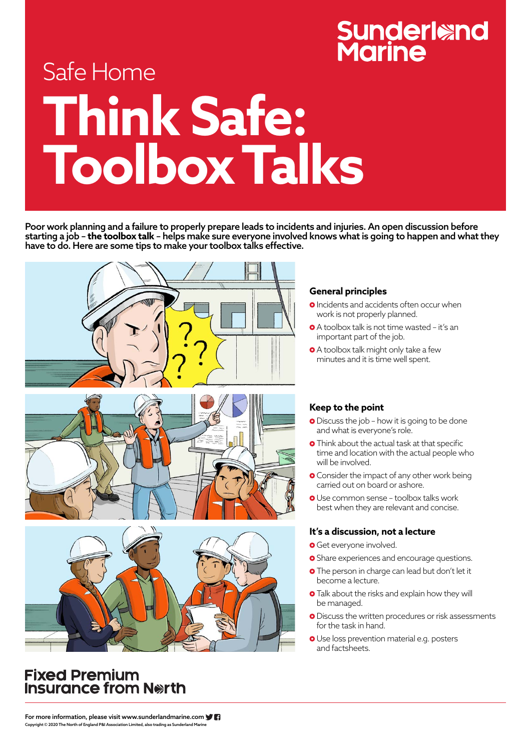For more information, please visit www.sunderlandmarine.com Copyright © 2020 The North of England P&I Association Limited, also trading as Sunderland Marine

# **Sunderland<br>Marine**

# Safe Home **Think Safe: Toolbox Talks**

### **General principles**

- **O** Incidents and accidents often occur when work is not properly planned.
- A toolbox talk is not time wasted it's an important part of the job.
- A toolbox talk might only take a few minutes and it is time well spent.

- **O** Discuss the job how it is going to be done and what is everyone's role.
- **O** Think about the actual task at that specific time and location with the actual people who will be involved.
- **O** Consider the impact of any other work being carried out on board or ashore.
- Use common sense toolbox talks work best when they are relevant and concise.

### **Keep to the point**

- **O** Get everyone involved.
- **O** Share experiences and encourage questions.
- **O** The person in charge can lead but don't let it become a lecture.
- **O** Talk about the risks and explain how they will be managed.
- **O** Discuss the written procedures or risk assessments for the task in hand.
- **O** Use loss prevention material e.g. posters and factsheets.

### **Fixed Premium** Insurance from North

### **It's a discussion, not a lecture**

Poor work planning and a failure to properly prepare leads to incidents and injuries. An open discussion before starting a job – **the toolbox talk** – helps make sure everyone involved knows what is going to happen and what they have to do. Here are some tips to make your toolbox talks effective.